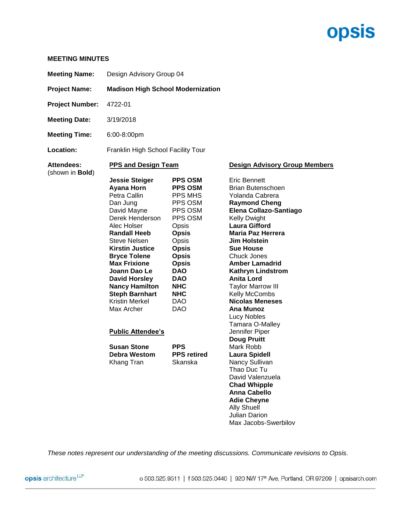# **opsis**

### **MEETING MINUTES**

| <b>Meeting Name:</b>                  | Design Advisory Group 04                 |  |
|---------------------------------------|------------------------------------------|--|
| <b>Project Name:</b>                  | <b>Madison High School Modernization</b> |  |
| <b>Project Number:</b>                | 4722-01                                  |  |
| <b>Meeting Date:</b>                  | 3/19/2018                                |  |
| <b>Meeting Time:</b>                  | $6:00-8:00$ pm                           |  |
| Location:                             | Franklin High School Facility Tour       |  |
| Attendees:<br>(shown in <b>Bold</b> ) | <b>PPS and Design Team</b>               |  |

## **Design Advisory Group Members**

| <b>Jessie Steiger</b>    | <b>PPS OSM</b>     | Eric Bennett             |  |
|--------------------------|--------------------|--------------------------|--|
| Ayana Horn               | <b>PPS OSM</b>     | Brian Butenschoen        |  |
| Petra Callin             | PPS MHS            | Yolanda Cabrera          |  |
| Dan Jung                 | PPS OSM            | <b>Raymond Cheng</b>     |  |
| David Mayne              | PPS OSM            | Elena Collazo-Santiago   |  |
| Derek Henderson          | PPS OSM            | <b>Kelly Dwight</b>      |  |
| Alec Holser              | Opsis              | <b>Laura Gifford</b>     |  |
| <b>Randall Heeb</b>      | <b>Opsis</b>       | Maria Paz Herrera        |  |
| Steve Nelsen             | Opsis              | <b>Jim Holstein</b>      |  |
| <b>Kirstin Justice</b>   | <b>Opsis</b>       | <b>Sue House</b>         |  |
| <b>Bryce Tolene</b>      | <b>Opsis</b>       | <b>Chuck Jones</b>       |  |
| <b>Max Frixione</b>      | <b>Opsis</b>       | <b>Amber Lamadrid</b>    |  |
| Joann Dao Le             | <b>DAO</b>         | Kathryn Lindstrom        |  |
| <b>David Horsley</b>     | <b>DAO</b>         | <b>Anita Lord</b>        |  |
| <b>Nancy Hamilton</b>    | <b>NHC</b>         | <b>Taylor Marrow III</b> |  |
| <b>Steph Barnhart</b>    | <b>NHC</b>         | Kelly McCombs            |  |
| Kristin Merkel           | DAO                | <b>Nicolas Meneses</b>   |  |
| Max Archer               | DAO                | <b>Ana Munoz</b>         |  |
|                          |                    | Lucy Nobles              |  |
|                          |                    | Tamara O-Malley          |  |
| <b>Public Attendee's</b> |                    | Jennifer Piper           |  |
|                          |                    | <b>Doug Pruitt</b>       |  |
| <b>Susan Stone</b>       | <b>PPS</b>         | Mark Robb                |  |
| Debra Westom             | <b>PPS</b> retired | <b>Laura Spidell</b>     |  |
| Khang Tran               | Skanska            | Nancy Sullivan           |  |
|                          |                    | Thao Duc Tu              |  |
|                          |                    | David Valenzuela         |  |
|                          |                    | <b>Chad Whipple</b>      |  |
|                          |                    | Anna Cabello             |  |
|                          |                    | <b>Adie Cheyne</b>       |  |
|                          |                    | <b>Ally Shuell</b>       |  |
|                          |                    | <b>Julian Darion</b>     |  |
|                          |                    | Max Jacobs-Swerbilov     |  |

*These notes represent our understanding of the meeting discussions. Communicate revisions to Opsis.*

opsis architecture<sup>LLP</sup>

o 503.525.9511 | f 503.525.0440 | 920 NW 17<sup>th</sup> Ave, Portland, OR 97209 | opsisarch.com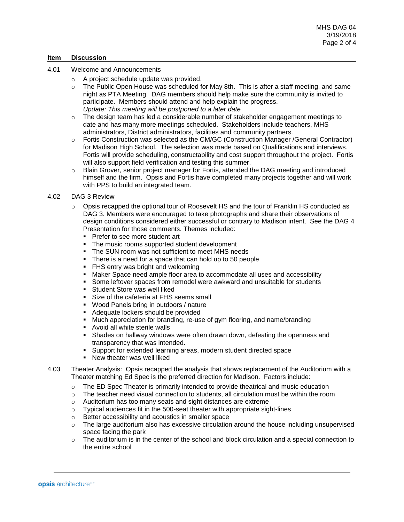#### **Item Discussion**

- 4.01 Welcome and Announcements
	- o A project schedule update was provided.
	- $\circ$  The Public Open House was scheduled for May 8th. This is after a staff meeting, and same night as PTA Meeting. DAG members should help make sure the community is invited to participate. Members should attend and help explain the progress. *Update: This meeting will be postponed to a later date*
	- $\circ$  The design team has led a considerable number of stakeholder engagement meetings to date and has many more meetings scheduled. Stakeholders include teachers, MHS administrators, District administrators, facilities and community partners.
	- o Fortis Construction was selected as the CM/GC (Construction Manager /General Contractor) for Madison High School. The selection was made based on Qualifications and interviews. Fortis will provide scheduling, constructability and cost support throughout the project. Fortis will also support field verification and testing this summer.
	- Blain Grover, senior project manager for Fortis, attended the DAG meeting and introduced himself and the firm. Opsis and Fortis have completed many projects together and will work with PPS to build an integrated team.

#### 4.02 DAG 3 Review

- $\circ$  Opsis recapped the optional tour of Roosevelt HS and the tour of Franklin HS conducted as DAG 3. Members were encouraged to take photographs and share their observations of design conditions considered either successful or contrary to Madison intent. See the DAG 4 Presentation for those comments. Themes included:
	- Prefer to see more student art
	- The music rooms supported student development
	- The SUN room was not sufficient to meet MHS needs
	- There is a need for a space that can hold up to 50 people
	- **FHS entry was bright and welcoming**
	- Maker Space need ample floor area to accommodate all uses and accessibility
	- Some leftover spaces from remodel were awkward and unsuitable for students
	- **EXECUTE: Student Store was well liked**
	- Size of the cafeteria at FHS seems small
	- Wood Panels bring in outdoors / nature
	- Adequate lockers should be provided
	- Much appreciation for branding, re-use of gym flooring, and name/branding
	- Avoid all white sterile walls
	- **EXEDENS** Islands on hallway windows were often drawn down, defeating the openness and transparency that was intended.
	- Support for extended learning areas, modern student directed space
	- New theater was well liked
- 4.03 Theater Analysis: Opsis recapped the analysis that shows replacement of the Auditorium with a Theater matching Ed Spec is the preferred direction for Madison. Factors include:
	- $\circ$  The ED Spec Theater is primarily intended to provide theatrical and music education
	- $\circ$  The teacher need visual connection to students, all circulation must be within the room
	- o Auditorium has too many seats and sight distances are extreme
	- o Typical audiences fit in the 500-seat theater with appropriate sight-lines
	- o Better accessibility and acoustics in smaller space
	- $\circ$  The large auditorium also has excessive circulation around the house including unsupervised space facing the park
	- $\circ$  The auditorium is in the center of the school and block circulation and a special connection to the entire school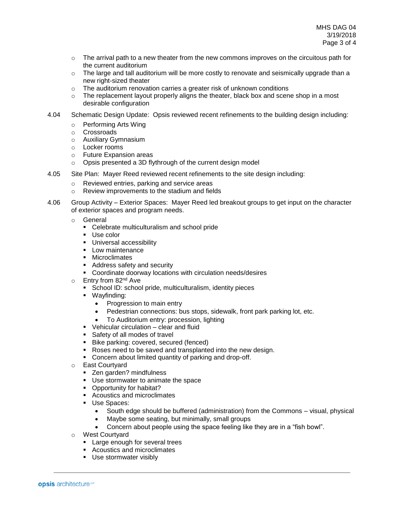- $\circ$  The arrival path to a new theater from the new commons improves on the circuitous path for the current auditorium
- $\circ$  The large and tall auditorium will be more costly to renovate and seismically upgrade than a new right-sized theater
- o The auditorium renovation carries a greater risk of unknown conditions
- $\circ$  The replacement layout properly aligns the theater, black box and scene shop in a most desirable configuration
- 4.04 Schematic Design Update: Opsis reviewed recent refinements to the building design including:
	- o Performing Arts Wing
	- o Crossroads
	- o Auxiliary Gymnasium
	- o Locker rooms
	- o Future Expansion areas
	- o Opsis presented a 3D flythrough of the current design model
- 4.05 Site Plan: Mayer Reed reviewed recent refinements to the site design including:
	- o Reviewed entries, parking and service areas
	- o Review improvements to the stadium and fields
- 4.06 Group Activity Exterior Spaces: Mayer Reed led breakout groups to get input on the character of exterior spaces and program needs.
	- o General
		- Celebrate multiculturalism and school pride
		- Use color
		- **·** Universal accessibility
		- Low maintenance
		- Microclimates
		- Address safety and security
		- Coordinate doorway locations with circulation needs/desires
	- $\circ$  Entry from 82<sup>nd</sup> Ave
		- School ID: school pride, multiculturalism, identity pieces
		- Wayfinding:
			- Progression to main entry
			- Pedestrian connections: bus stops, sidewalk, front park parking lot, etc.
			- To Auditorium entry: procession, lighting
		- Vehicular circulation clear and fluid
		- Safety of all modes of travel
		- Bike parking: covered, secured (fenced)
		- Roses need to be saved and transplanted into the new design.
		- Concern about limited quantity of parking and drop-off.
	- o East Courtyard
		- Zen garden? mindfulness
		- Use stormwater to animate the space
		- Opportunity for habitat?
		- Acoustics and microclimates
		- Use Spaces:
			- South edge should be buffered (administration) from the Commons visual, physical
			- Maybe some seating, but minimally, small groups
			- Concern about people using the space feeling like they are in a "fish bowl".
	- o West Courtyard
		- **EXEC** Large enough for several trees
		- Acoustics and microclimates
		- Use stormwater visibly